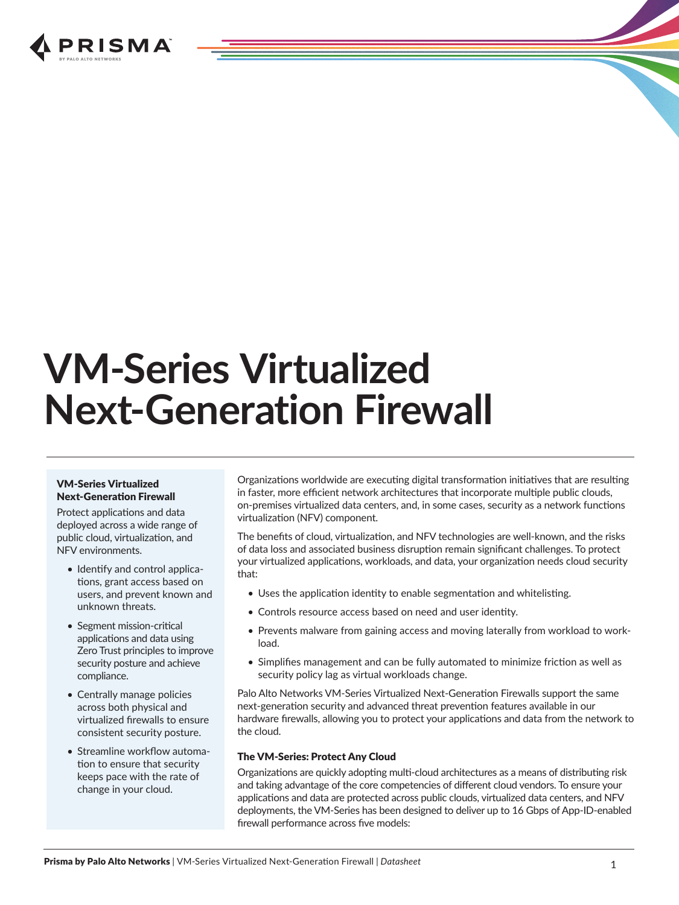

# **VM-Series Virtualized Next-Generation Firewall**

## VM-Series Virtualized **Next-Generation Firewall**

Protect applications and data deployed across a wide range of public cloud, virtualization, and NFV environments.

- Identify and control applications, grant access based on users, and prevent known and unknown threats.
- Segment mission-critical applications and data using Zero Trust principles to improve security posture and achieve compliance.
- Centrally manage policies across both physical and virtualized firewalls to ensure consistent security posture.
- Streamline workflow automation to ensure that security keeps pace with the rate of change in your cloud.

Organizations worldwide are executing digital transformation initiatives that are resulting in faster, more efficient network architectures that incorporate multiple public clouds, on-premises virtualized data centers, and, in some cases, security as a network functions virtualization (NFV) component.

The benefits of cloud, virtualization, and NFV technologies are well-known, and the risks of data loss and associated business disruption remain significant challenges. To protect your virtualized applications, workloads, and data, your organization needs cloud security that:

- Uses the application identity to enable segmentation and whitelisting.
- Controls resource access based on need and user identity.
- Prevents malware from gaining access and moving laterally from workload to workload.
- Simplifies management and can be fully automated to minimize friction as well as security policy lag as virtual workloads change.

Palo Alto Networks VM-Series Virtualized Next-Generation Firewalls support the same next-generation security and advanced threat prevention features available in our hardware firewalls, allowing you to protect your applications and data from the network to the cloud.

### The VM-Series: Protect Any Cloud

Organizations are quickly adopting multi-cloud architectures as a means of distributing risk and taking advantage of the core competencies of different cloud vendors. To ensure your applications and data are protected across public clouds, virtualized data centers, and NFV deployments, the VM-Series has been designed to deliver up to 16 Gbps of App-ID-enabled firewall performance across five models: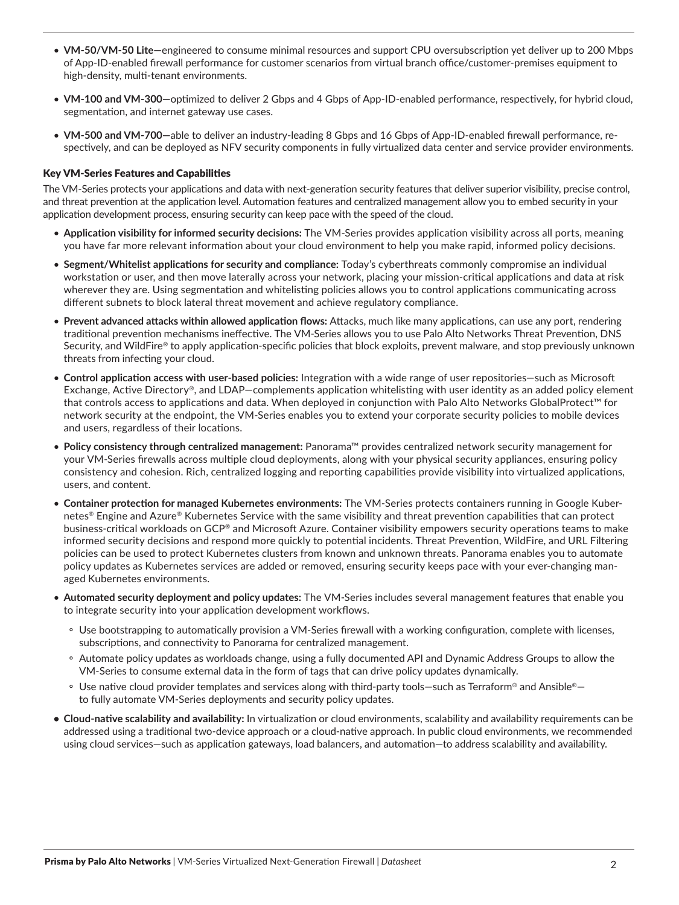- **VM-50/VM-50 Lite—**engineered to consume minimal resources and support CPU oversubscription yet deliver up to 200 Mbps of App-ID-enabled firewall performance for customer scenarios from virtual branch office/customer-premises equipment to high-density, multi-tenant environments.
- **VM-100 and VM-300—**optimized to deliver 2 Gbps and 4 Gbps of App-ID-enabled performance, respectively, for hybrid cloud, segmentation, and internet gateway use cases.
- **VM-500 and VM-700—**able to deliver an industry-leading 8 Gbps and 16 Gbps of App-ID-enabled firewall performance, respectively, and can be deployed as NFV security components in fully virtualized data center and service provider environments.

#### Key VM-Series Features and Capabilities

The VM-Series protects your applications and data with next-generation security features that deliver superior visibility, precise control, and threat prevention at the application level. Automation features and centralized management allow you to embed security in your application development process, ensuring security can keep pace with the speed of the cloud.

- **Application visibility for informed security decisions:** The VM-Series provides application visibility across all ports, meaning you have far more relevant information about your cloud environment to help you make rapid, informed policy decisions.
- **Segment/Whitelist applications for security and compliance:** Today's cyberthreats commonly compromise an individual workstation or user, and then move laterally across your network, placing your mission-critical applications and data at risk wherever they are. Using segmentation and whitelisting policies allows you to control applications communicating across different subnets to block lateral threat movement and achieve regulatory compliance.
- **Prevent advanced attacks within allowed application flows:** Attacks, much like many applications, can use any port, rendering traditional prevention mechanisms ineffective. The VM-Series allows you to use Palo Alto Networks Threat Prevention, DNS Security, and WildFire® to apply application-specific policies that block exploits, prevent malware, and stop previously unknown threats from infecting your cloud.
- **Control application access with user-based policies:** Integration with a wide range of user repositories—such as Microsoft Exchange, Active Directory®, and LDAP—complements application whitelisting with user identity as an added policy element that controls access to applications and data. When deployed in conjunction with Palo Alto Networks GlobalProtect™ for network security at the endpoint, the VM-Series enables you to extend your corporate security policies to mobile devices and users, regardless of their locations.
- **Policy consistency through centralized management:** Panorama™ provides centralized network security management for your VM-Series firewalls across multiple cloud deployments, along with your physical security appliances, ensuring policy consistency and cohesion. Rich, centralized logging and reporting capabilities provide visibility into virtualized applications, users, and content.
- **Container protection for managed Kubernetes environments:** The VM-Series protects containers running in Google Kubernetes® Engine and Azure® Kubernetes Service with the same visibility and threat prevention capabilities that can protect business-critical workloads on GCP® and Microsoft Azure. Container visibility empowers security operations teams to make informed security decisions and respond more quickly to potential incidents. Threat Prevention, WildFire, and URL Filtering policies can be used to protect Kubernetes clusters from known and unknown threats. Panorama enables you to automate policy updates as Kubernetes services are added or removed, ensuring security keeps pace with your ever-changing managed Kubernetes environments.
- **Automated security deployment and policy updates:** The VM-Series includes several management features that enable you to integrate security into your application development workflows.
	- Use bootstrapping to automatically provision a VM-Series firewall with a working configuration, complete with licenses, subscriptions, and connectivity to Panorama for centralized management.
	- Automate policy updates as workloads change, using a fully documented API and Dynamic Address Groups to allow the VM-Series to consume external data in the form of tags that can drive policy updates dynamically.
	- Use native cloud provider templates and services along with third-party tools—such as Terraform® and Ansible® to fully automate VM-Series deployments and security policy updates.
- **• Cloud-native scalability and availability:** In virtualization or cloud environments, scalability and availability requirements can be addressed using a traditional two-device approach or a cloud-native approach. In public cloud environments, we recommended using cloud services—such as application gateways, load balancers, and automation—to address scalability and availability.